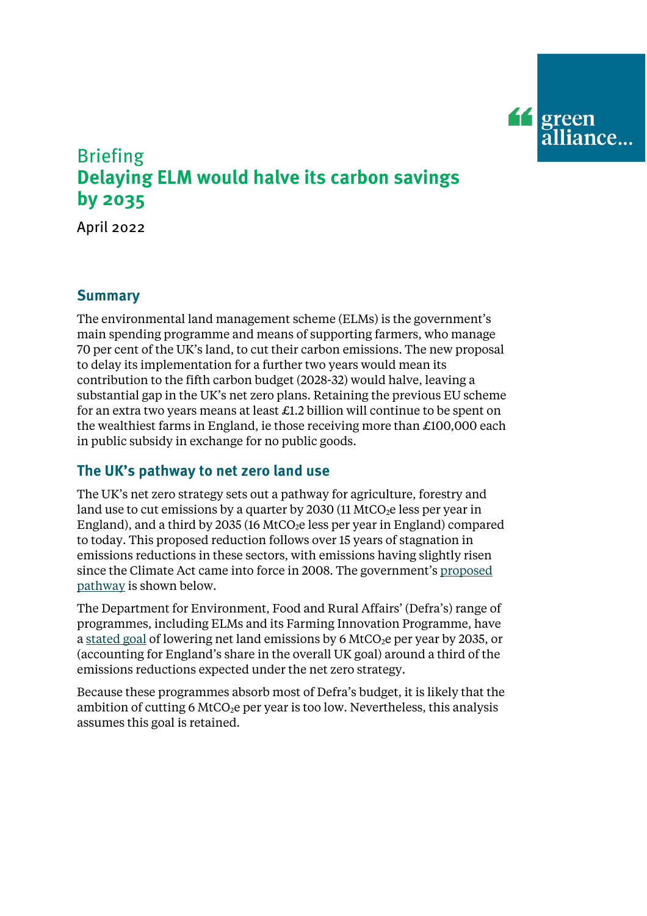

# Briefing **Delaying ELM would halve its carbon savings by 2035**

April 2022

## **Summary**

The environmental land management scheme (ELMs) is the government's main spending programme and means of supporting farmers, who manage 70 per cent of the UK's land, to cut their carbon emissions. The new proposal to delay its implementation for a further two years would mean its contribution to the fifth carbon budget (2028-32) would halve, leaving a substantial gap in the UK's net zero plans. Retaining the previous EU scheme for an extra two years means at least £1.2 billion will continue to be spent on the wealthiest farms in England, ie those receiving more than £100,000 each in public subsidy in exchange for no public goods.

## **The UK's pathway to net zero land use**

The UK's net zero strategy sets out a pathway for agriculture, forestry and land use to cut emissions by a quarter by 2030 (11 MtCO<sub>2</sub>e less per year in England), and a third by 2035 (16 MtCO<sub>2</sub>e less per year in England) compared to today. This proposed reduction follows over 15 years of stagnation in emissions reductions in these sectors, with emissions having slightly risen since the Climate Act came into force in 2008. The government'[s proposed](https://assets.publishing.service.gov.uk/government/uploads/system/uploads/attachment_data/file/1033990/net-zero-strategy-beis.pdf#page=170)  [pathway](https://assets.publishing.service.gov.uk/government/uploads/system/uploads/attachment_data/file/1033990/net-zero-strategy-beis.pdf#page=170) is shown below.

The Department for Environment, Food and Rural Affairs' (Defra's) range of programmes, including ELMs and its Farming Innovation Programme, have [a stated goal](https://www.gov.uk/government/publications/environmental-land-management-schemes-outcomes/environmental-land-management-schemes-outcomes) of lowering net land emissions by 6 MtCO<sub>2</sub>e per year by 2035, or (accounting for England's share in the overall UK goal) around a third of the emissions reductions expected under the net zero strategy.

Because these programmes absorb most of Defra's budget, it is likely that the ambition of cutting 6 MtCO<sub>2</sub>e per year is too low. Nevertheless, this analysis assumes this goal is retained.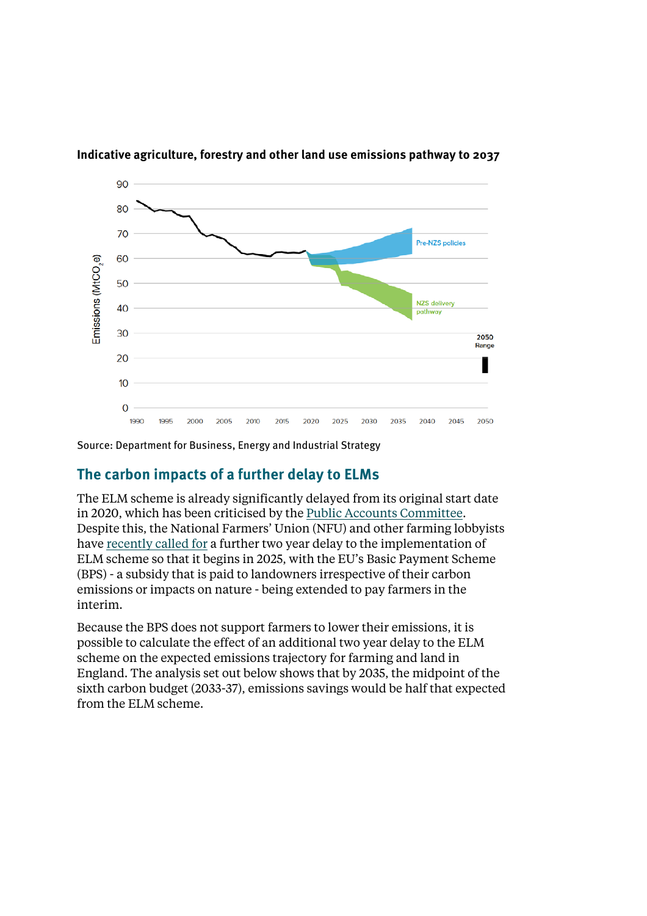

**Indicative agriculture, forestry and other land use emissions pathway to 2037**

Source: Department for Business, Energy and Industrial Strategy

### **The carbon impacts of a further delay to ELMs**

The ELM scheme is already significantly delayed from its original start date in 2020, which has been criticised by the [Public Accounts Committee.](https://publications.parliament.uk/pa/cm5802/cmselect/cmpubacc/639/report.html)  Despite this, the National Farmers' Union (NFU) and other farming lobbyists hav[e recently called for](https://www.fwi.co.uk/business/business-management/agricultural-transition/labour-backs-nfu-calls-for-two-year-pause-to-bps-cuts) a further two year delay to the implementation of ELM scheme so that it begins in 2025, with the EU's Basic Payment Scheme (BPS) - a subsidy that is paid to landowners irrespective of their carbon emissions or impacts on nature - being extended to pay farmers in the interim.

Because the BPS does not support farmers to lower their emissions, it is possible to calculate the effect of an additional two year delay to the ELM scheme on the expected emissions trajectory for farming and land in England. The analysis set out below shows that by 2035, the midpoint of the sixth carbon budget (2033-37), emissions savings would be half that expected from the ELM scheme.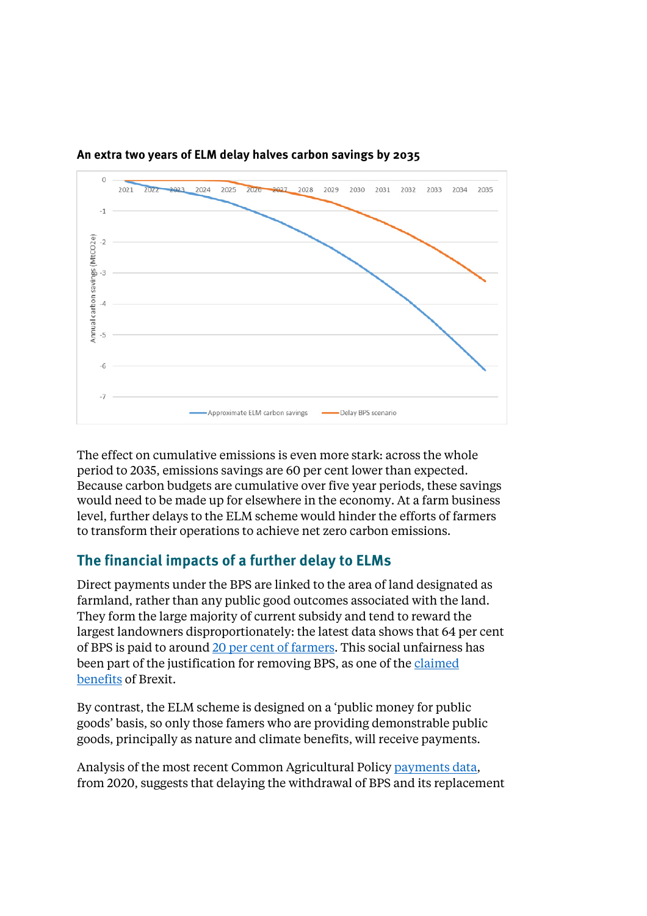

**An extra two years of ELM delay halves carbon savings by 2035**

The effect on cumulative emissions is even more stark: across the whole period to 2035, emissions savings are 60 per cent lower than expected. Because carbon budgets are cumulative over five year periods, these savings would need to be made up for elsewhere in the economy. At a farm business level, further delays to the ELM scheme would hinder the efforts of farmers to transform their operations to achieve net zero carbon emissions.

## **The financial impacts of a further delay to ELMs**

Direct payments under the BPS are linked to the area of land designated as farmland, rather than any public good outcomes associated with the land. They form the large majority of current subsidy and tend to reward the largest landowners disproportionately: the latest data shows that 64 per cent of BPS is paid to around 20 per cent [of farmers. T](https://ec.europa.eu/info/sites/default/files/food-farming-fisheries/farming/documents/direct-aid-report-2019_en.pdf)his social unfairness has been part of the justification for removing BPS, as one of the [claimed](https://www.farminguk.com/news/gove-brexit-means-leaving-environmentally-damaging-and-socially-unjust-cap_47548.html)  [benefits](https://www.farminguk.com/news/gove-brexit-means-leaving-environmentally-damaging-and-socially-unjust-cap_47548.html) of Brexit.

By contrast, the ELM scheme is designed on a 'public money for public goods' basis, so only those famers who are providing demonstrable public goods, principally as nature and climate benefits, will receive payments.

Analysis of the most recent Common Agricultural Polic[y payments data,](https://cap-payments.defra.gov.uk/SearchResults.aspx?Page=1&Sort=ADirectEAGFTotal)  from 2020, suggests that delaying the withdrawal of BPS and its replacement